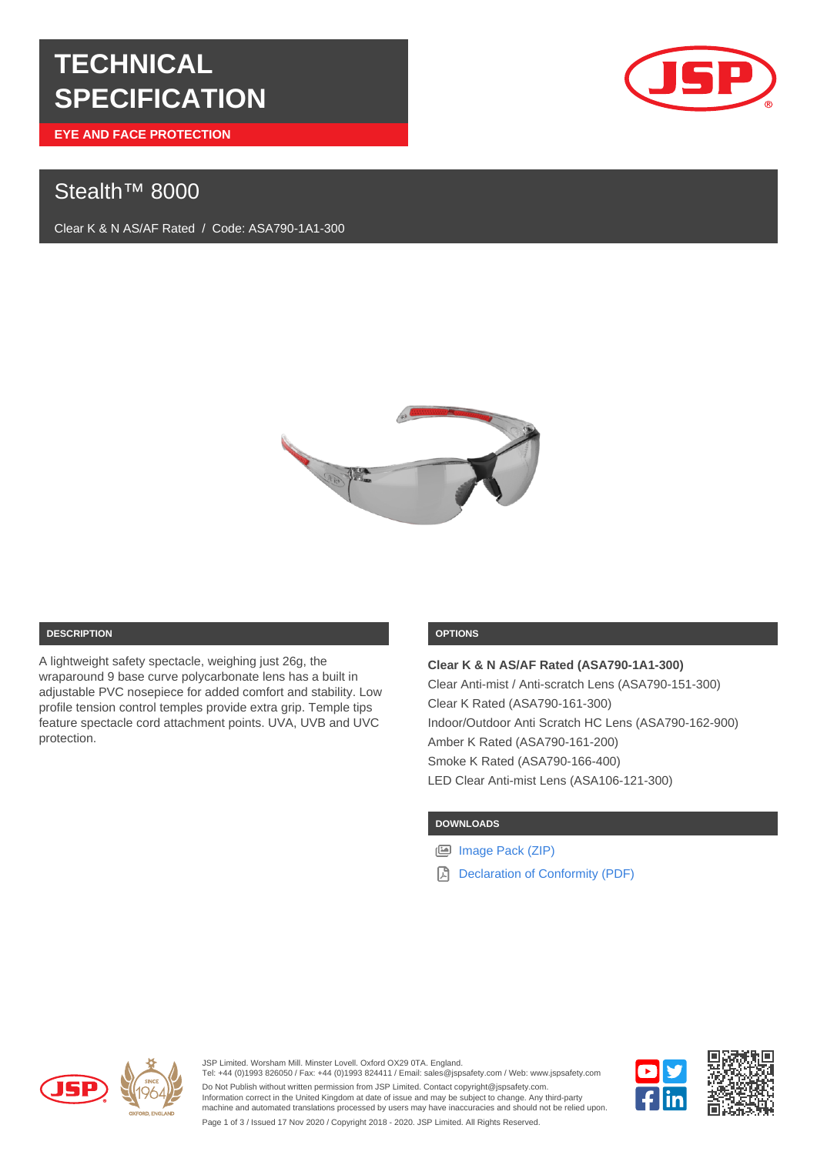# **TECHNICAL SPECIFICATION**

**EYE AND FACE PROTECTION**

# Stealth<sup>™</sup> 8000

Clear K & N AS/AF Rated / Code: ASA790-1A1-300





#### **DESCRIPTION**

A lightweight safety spectacle, weighing just 26g, the wraparound 9 base curve polycarbonate lens has a built in adjustable PVC nosepiece for added comfort and stability. Low profile tension control temples provide extra grip. Temple tips feature spectacle cord attachment points. UVA, UVB and UVC protection.

# **OPTIONS**

**Clear K & N AS/AF Rated (ASA790-1A1-300)** Clear Anti-mist / Anti-scratch Lens (ASA790-151-300) Clear K Rated (ASA790-161-300) Indoor/Outdoor Anti Scratch HC Lens (ASA790-162-900) Amber K Rated (ASA790-161-200) Smoke K Rated (ASA790-166-400) LED Clear Anti-mist Lens (ASA106-121-300)

# **DOWNLOADS**

[Image Pack \(ZIP\)](https://cms.jspdigihub.com/get-image-pack/products/stealth-8000)

[Declaration of Conformity \(PDF\)](https://cms.jspdigihub.com/media/pages/products/stealth-8000/f614590597-1605036208/doc-stealth-8000-spectacles.pdf)



Tel: +44 (0)1993 826050 / Fax: +44 (0)1993 824411 / Email: sales@jspsafety.com / Web: www.jspsafety.com Do Not Publish without written permission from JSP Limited. Contact copyright@jspsafety.com. Information correct in the United Kingdom at date of issue and may be subject to change. Any third-party machine and automated translations processed by users may have inaccuracies and should not be relied upon.

JSP Limited. Worsham Mill. Minster Lovell. Oxford OX29 0TA. England.



Page 1 of 3 / Issued 17 Nov 2020 / Copyright 2018 - 2020. JSP Limited. All Rights Reserved.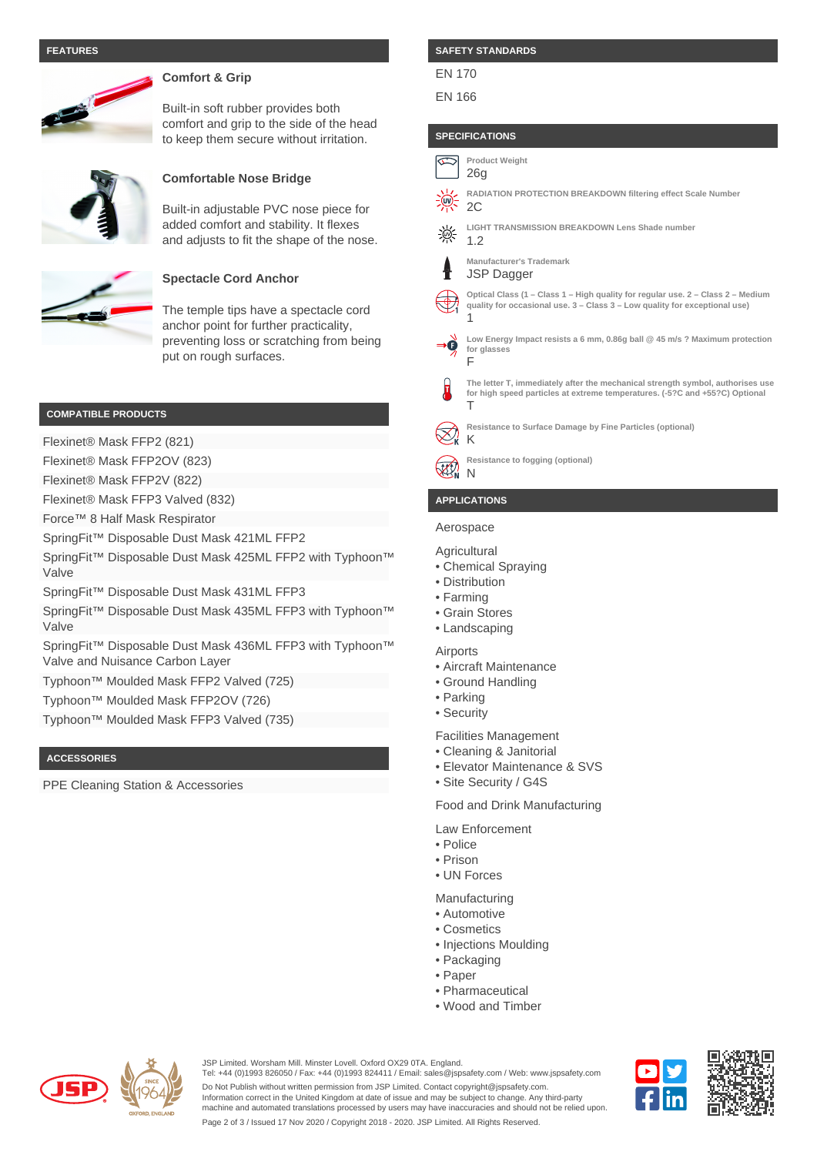#### **FEATURES**



# **Comfort & Grip**

Built-in soft rubber provides both comfort and grip to the side of the head to keep them secure without irritation.



### **Comfortable Nose Bridge**

Built-in adjustable PVC nose piece for added comfort and stability. It flexes and adjusts to fit the shape of the nose.



# **Spectacle Cord Anchor**

The temple tips have a spectacle cord anchor point for further practicality, preventing loss or scratching from being put on rough surfaces.

#### **COMPATIBLE PRODUCTS**

Flexinet® Mask FFP2 (821)

Flexinet® Mask FFP2OV (823)

Flexinet® Mask FFP2V (822)

Flexinet® Mask FFP3 Valved (832)

Force™ 8 Half Mask Respirator

SpringFit™ Disposable Dust Mask 421ML FFP2

SpringFit™ Disposable Dust Mask 425ML FFP2 with Typhoon™ Valve

SpringFit™ Disposable Dust Mask 431ML FFP3

SpringFit™ Disposable Dust Mask 435ML FFP3 with Typhoon<sup>™</sup> Valve

SpringFit™ Disposable Dust Mask 436ML FFP3 with Typhoon<sup>™</sup> Valve and Nuisance Carbon Layer

Typhoon™ Moulded Mask FFP2 Valved (725)

Typhoon™ Moulded Mask FFP2OV (726)

Typhoon™ Moulded Mask FFP3 Valved (735)

#### **ACCESSORIES**

PPE Cleaning Station & Accessories

#### **SAFETY STANDARDS**

#### EN 170

#### EN 166

#### **SPECIFICATIONS**



#### **APPLICATIONS**

# Aerospace

- **Agricultural**
- Chemical Spraying
- Distribution
- Farming
- Grain Stores
- Landscaping
- Airports
- Aircraft Maintenance
- Ground Handling
- Parking
- Security

Facilities Management

- Cleaning & Janitorial
- Elevator Maintenance & SVS
- Site Security / G4S

Food and Drink Manufacturing

Law Enforcement

- Police
- Prison • UN Forces

Manufacturing

- Automotive
- Cosmetics
- Injections Moulding
- Packaging
- Paper
- Pharmaceutical
- Wood and Timber



JSP Limited. Worsham Mill. Minster Lovell. Oxford OX29 0TA. England.

Tel: +44 (0)1993 826050 / Fax: +44 (0)1993 824411 / Email: sales@jspsafety.com / Web: www.jspsafety.com Do Not Publish without written permission from JSP Limited. Contact copyright@jspsafety.com.